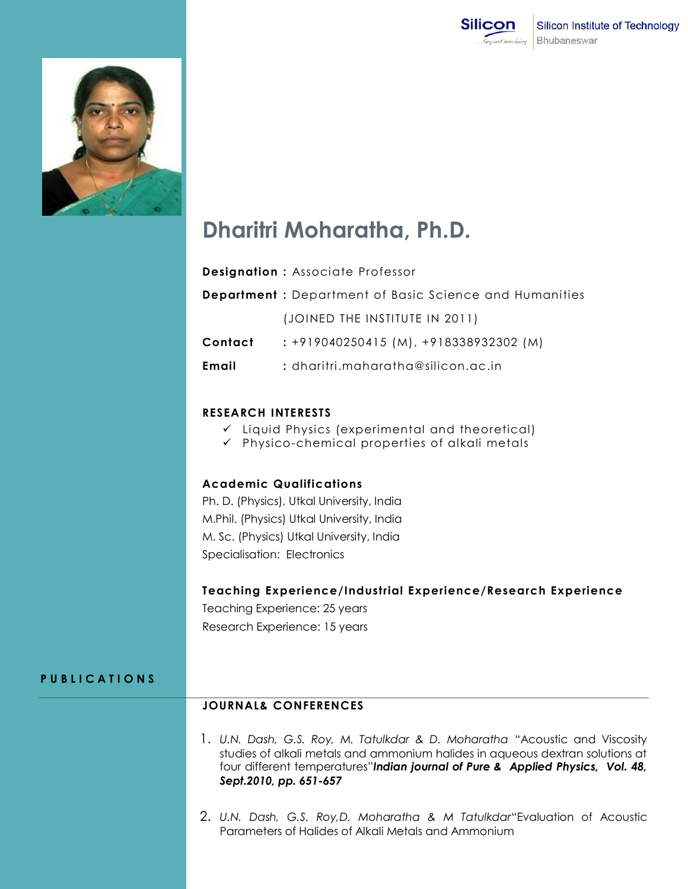



# **Dharitri Moharatha, Ph.D.**

| <b>Designation: Associate Professor</b> |  |  |  |
|-----------------------------------------|--|--|--|
|-----------------------------------------|--|--|--|

|         | <b>Department</b> : Department of Basic Science and Humanities |
|---------|----------------------------------------------------------------|
|         | (JOINED THE INSTITUTE IN 2011)                                 |
| Contact | $: +919040250415$ (M), $+918338932302$ (M)                     |
| Email   | $:$ dharitri.maharatha@silicon.ac.in:                          |

#### **RESEARCH INTERESTS**

- $\checkmark$  Liquid Physics (experimental and theoretical)
- $\checkmark$  Physico-chemical properties of alkali metals

### **Academic Qualifications**

Ph. D. (Physics), Utkal University, India M.Phil. (Physics) Utkal University, India M. Sc. (Physics) Utkal University, India Specialisation: Electronics

#### **Teaching Experience/Industrial Experience/Research Experience**

Teaching Experience: 25 years Research Experience: 15 years

#### **P U B L I C A T I O N S**

## **JOURNAL& CONFERENCES**

- 1. *U.N. Dash, G.S. Roy, M. Tatulkdar & D. Moharatha* "Acoustic and Viscosity studies of alkali metals and ammonium halides in aqueous dextran solutions at four different temperatures"*Indian journal of Pure & Applied Physics, Vol. 48, Sept.2010, pp. 651-657*
- 2. *U.N. Dash, G.S. Roy,D. Moharatha & M Tatulkdar*"Evaluation of Acoustic Parameters of Halides of Alkali Metals and Ammonium